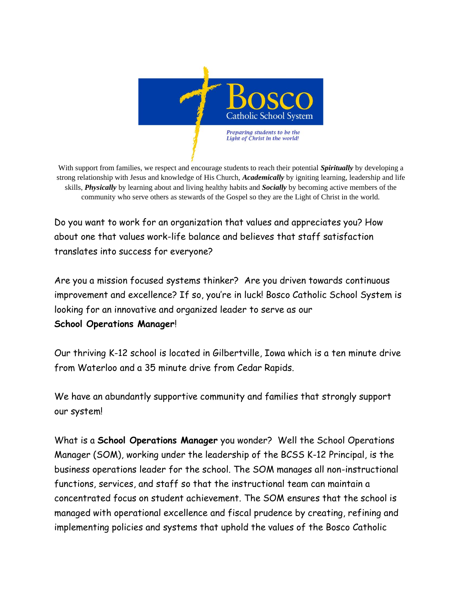

With support from families, we respect and encourage students to reach their potential *Spiritually* by developing a strong relationship with Jesus and knowledge of His Church, *Academically* by igniting learning, leadership and life skills, *Physically* by learning about and living healthy habits and *Socially* by becoming active members of the community who serve others as stewards of the Gospel so they are the Light of Christ in the world.

Do you want to work for an organization that values and appreciates you? How about one that values work-life balance and believes that staff satisfaction translates into success for everyone?

Are you a mission focused systems thinker? Are you driven towards continuous improvement and excellence? If so, you're in luck! Bosco Catholic School System is looking for an innovative and organized leader to serve as our **School Operations Manager**!

Our thriving K-12 school is located in Gilbertville, Iowa which is a ten minute drive from Waterloo and a 35 minute drive from Cedar Rapids.

We have an abundantly supportive community and families that strongly support our system!

What is a **School Operations Manager** you wonder? Well the School Operations Manager (SOM), working under the leadership of the BCSS K-12 Principal, is the business operations leader for the school. The SOM manages all non-instructional functions, services, and staff so that the instructional team can maintain a concentrated focus on student achievement. The SOM ensures that the school is managed with operational excellence and fiscal prudence by creating, refining and implementing policies and systems that uphold the values of the Bosco Catholic